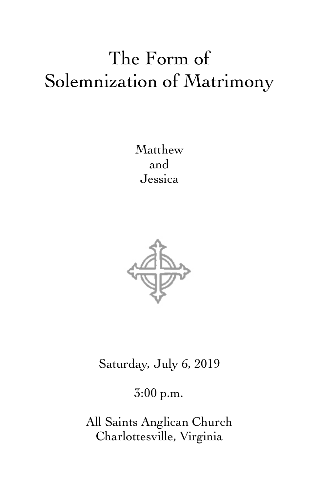# The Form of Solemnization of Matrimony

Matthew and Jessica



Saturday, July 6, 2019

3:00 p.m.

All Saints Anglican Church Charlottesville, Virginia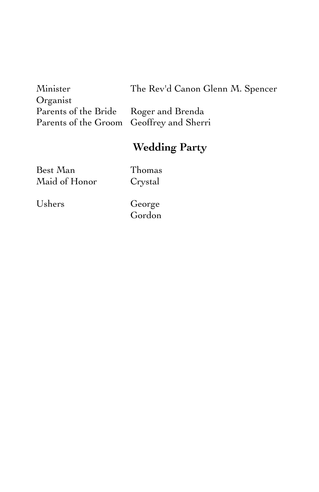| Minister                                 | The Rev'd Canon Glenn M. Spencer |
|------------------------------------------|----------------------------------|
| Organist                                 |                                  |
| Parents of the Bride Roger and Brenda    |                                  |
| Parents of the Groom Geoffrey and Sherri |                                  |

# **Wedding Party**

Best Man Thomas<br>
Maid of Honor Crystal Maid of Honor

Ushers George

Gordon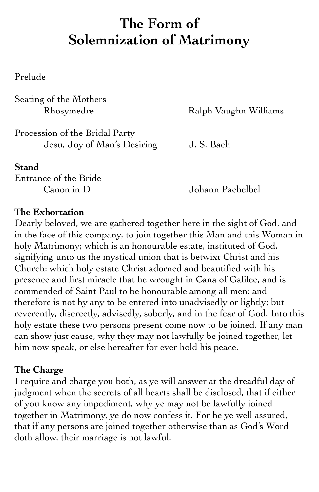# **The Form of Solemnization of Matrimony**

Prelude

Seating of the Mothers

Rhosymedre Ralph Vaughn Williams

Procession of the Bridal Party Jesu, Joy of Man's Desiring J. S. Bach

**Stand**

Entrance of the Bride

Canon in D Johann Pachelbel

#### **The Exhortation**

Dearly beloved, we are gathered together here in the sight of God, and in the face of this company, to join together this Man and this Woman in holy Matrimony; which is an honourable estate, instituted of God, signifying unto us the mystical union that is betwixt Christ and his Church: which holy estate Christ adorned and beautified with his presence and first miracle that he wrought in Cana of Galilee, and is commended of Saint Paul to be honourable among all men: and therefore is not by any to be entered into unadvisedly or lightly; but reverently, discreetly, advisedly, soberly, and in the fear of God. Into this holy estate these two persons present come now to be joined. If any man can show just cause, why they may not lawfully be joined together, let him now speak, or else hereafter for ever hold his peace.

#### **The Charge**

I require and charge you both, as ye will answer at the dreadful day of judgment when the secrets of all hearts shall be disclosed, that if either of you know any impediment, why ye may not be lawfully joined together in Matrimony, ye do now confess it. For be ye well assured, that if any persons are joined together otherwise than as God's Word doth allow, their marriage is not lawful.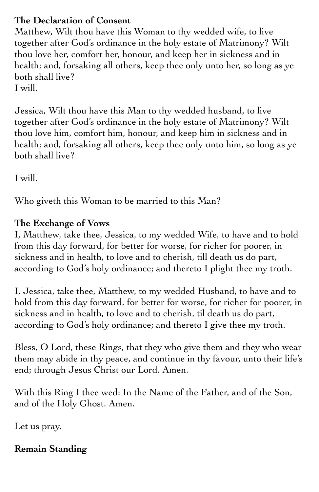### **The Declaration of Consent**

Matthew, Wilt thou have this Woman to thy wedded wife, to live together after God's ordinance in the holy estate of Matrimony? Wilt thou love her, comfort her, honour, and keep her in sickness and in health; and, forsaking all others, keep thee only unto her, so long as ye both shall live? I will.

Jessica, Wilt thou have this Man to thy wedded husband, to live together after God's ordinance in the holy estate of Matrimony? Wilt thou love him, comfort him, honour, and keep him in sickness and in health; and, forsaking all others, keep thee only unto him, so long as ye both shall live?

I will.

Who giveth this Woman to be married to this Man?

## **The Exchange of Vows**

I, Matthew, take thee, Jessica, to my wedded Wife, to have and to hold from this day forward, for better for worse, for richer for poorer, in sickness and in health, to love and to cherish, till death us do part, according to God's holy ordinance; and thereto I plight thee my troth.

I, Jessica, take thee, Matthew, to my wedded Husband, to have and to hold from this day forward, for better for worse, for richer for poorer, in sickness and in health, to love and to cherish, til death us do part, according to God's holy ordinance; and thereto I give thee my troth.

Bless, O Lord, these Rings, that they who give them and they who wear them may abide in thy peace, and continue in thy favour, unto their life's end; through Jesus Christ our Lord. Amen.

With this Ring I thee wed: In the Name of the Father, and of the Son, and of the Holy Ghost. Amen.

Let us pray.

# **Remain Standing**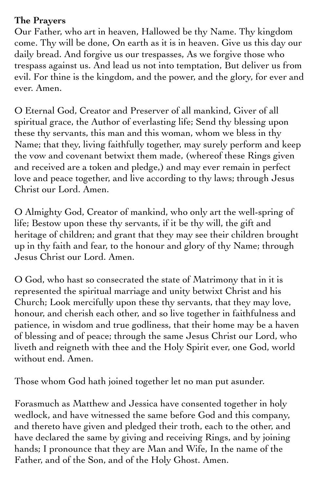#### **The Prayers**

Our Father, who art in heaven, Hallowed be thy Name. Thy kingdom come. Thy will be done, On earth as it is in heaven. Give us this day our daily bread. And forgive us our trespasses, As we forgive those who trespass against us. And lead us not into temptation, But deliver us from evil. For thine is the kingdom, and the power, and the glory, for ever and ever. Amen.

O Eternal God, Creator and Preserver of all mankind, Giver of all spiritual grace, the Author of everlasting life; Send thy blessing upon these thy servants, this man and this woman, whom we bless in thy Name; that they, living faithfully together, may surely perform and keep the vow and covenant betwixt them made, (whereof these Rings given and received are a token and pledge,) and may ever remain in perfect love and peace together, and live according to thy laws; through Jesus Christ our Lord. Amen.

O Almighty God, Creator of mankind, who only art the well-spring of life; Bestow upon these thy servants, if it be thy will, the gift and heritage of children; and grant that they may see their children brought up in thy faith and fear, to the honour and glory of thy Name; through Jesus Christ our Lord. Amen.

O God, who hast so consecrated the state of Matrimony that in it is represented the spiritual marriage and unity betwixt Christ and his Church; Look mercifully upon these thy servants, that they may love, honour, and cherish each other, and so live together in faithfulness and patience, in wisdom and true godliness, that their home may be a haven of blessing and of peace; through the same Jesus Christ our Lord, who liveth and reigneth with thee and the Holy Spirit ever, one God, world without end. Amen.

Those whom God hath joined together let no man put asunder.

Forasmuch as Matthew and Jessica have consented together in holy wedlock, and have witnessed the same before God and this company, and thereto have given and pledged their troth, each to the other, and have declared the same by giving and receiving Rings, and by joining hands; I pronounce that they are Man and Wife, In the name of the Father, and of the Son, and of the Holy Ghost. Amen.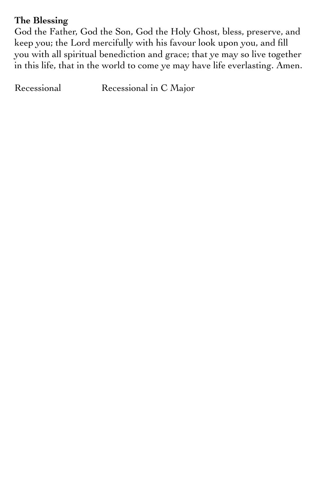#### **The Blessing**

God the Father, God the Son, God the Holy Ghost, bless, preserve, and keep you; the Lord mercifully with his favour look upon you, and fill you with all spiritual benediction and grace; that ye may so live together in this life, that in the world to come ye may have life everlasting. Amen.

Recessional Recessional in C Major